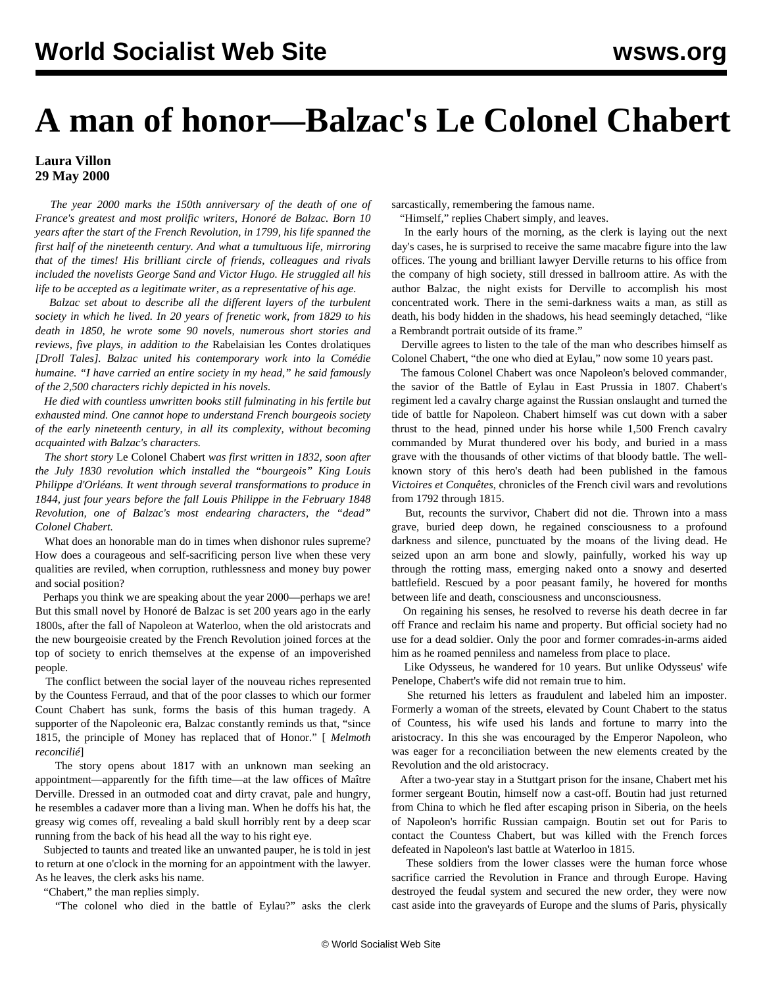## **A man of honor—Balzac's Le Colonel Chabert**

## **Laura Villon 29 May 2000**

 *The year 2000 marks the 150th anniversary of the death of one of France's greatest and most prolific writers, Honoré de Balzac. Born 10 years after the start of the French Revolution, in 1799, his life spanned the first half of the nineteenth century. And what a tumultuous life, mirroring that of the times! His brilliant circle of friends, colleagues and rivals included the novelists George Sand and Victor Hugo. He struggled all his life to be accepted as a legitimate writer, as a representative of his age.*

 *Balzac set about to describe all the different layers of the turbulent society in which he lived. In 20 years of frenetic work, from 1829 to his death in 1850, he wrote some 90 novels, numerous short stories and reviews, five plays, in addition to the* Rabelaisian les Contes drolatiques *[Droll Tales]. Balzac united his contemporary work into la Comédie humaine. "I have carried an entire society in my head," he said famously of the 2,500 characters richly depicted in his novels.*

 *He died with countless unwritten books still fulminating in his fertile but exhausted mind. One cannot hope to understand French bourgeois society of the early nineteenth century, in all its complexity, without becoming acquainted with Balzac's characters.*

 *The short story* Le Colonel Chabert *was first written in 1832, soon after the July 1830 revolution which installed the "bourgeois" King Louis Philippe d'Orléans. It went through several transformations to produce in 1844, just four years before the fall Louis Philippe in the February 1848 Revolution, one of Balzac's most endearing characters, the "dead" Colonel Chabert.*

 What does an honorable man do in times when dishonor rules supreme? How does a courageous and self-sacrificing person live when these very qualities are reviled, when corruption, ruthlessness and money buy power and social position?

 Perhaps you think we are speaking about the year 2000—perhaps we are! But this small novel by Honoré de Balzac is set 200 years ago in the early 1800s, after the fall of Napoleon at Waterloo, when the old aristocrats and the new bourgeoisie created by the French Revolution joined forces at the top of society to enrich themselves at the expense of an impoverished people.

 The conflict between the social layer of the nouveau riches represented by the Countess Ferraud, and that of the poor classes to which our former Count Chabert has sunk, forms the basis of this human tragedy. A supporter of the Napoleonic era, Balzac constantly reminds us that, "since 1815, the principle of Money has replaced that of Honor." [ *Melmoth reconcilié*]

 The story opens about 1817 with an unknown man seeking an appointment—apparently for the fifth time—at the law offices of Maître Derville. Dressed in an outmoded coat and dirty cravat, pale and hungry, he resembles a cadaver more than a living man. When he doffs his hat, the greasy wig comes off, revealing a bald skull horribly rent by a deep scar running from the back of his head all the way to his right eye.

 Subjected to taunts and treated like an unwanted pauper, he is told in jest to return at one o'clock in the morning for an appointment with the lawyer. As he leaves, the clerk asks his name.

"Chabert," the man replies simply.

"The colonel who died in the battle of Eylau?" asks the clerk

sarcastically, remembering the famous name.

"Himself," replies Chabert simply, and leaves.

 In the early hours of the morning, as the clerk is laying out the next day's cases, he is surprised to receive the same macabre figure into the law offices. The young and brilliant lawyer Derville returns to his office from the company of high society, still dressed in ballroom attire. As with the author Balzac, the night exists for Derville to accomplish his most concentrated work. There in the semi-darkness waits a man, as still as death, his body hidden in the shadows, his head seemingly detached, "like a Rembrandt portrait outside of its frame."

 Derville agrees to listen to the tale of the man who describes himself as Colonel Chabert, "the one who died at Eylau," now some 10 years past.

 The famous Colonel Chabert was once Napoleon's beloved commander, the savior of the Battle of Eylau in East Prussia in 1807. Chabert's regiment led a cavalry charge against the Russian onslaught and turned the tide of battle for Napoleon. Chabert himself was cut down with a saber thrust to the head, pinned under his horse while 1,500 French cavalry commanded by Murat thundered over his body, and buried in a mass grave with the thousands of other victims of that bloody battle. The wellknown story of this hero's death had been published in the famous *Victoires et Conquêtes*, chronicles of the French civil wars and revolutions from 1792 through 1815.

 But, recounts the survivor, Chabert did not die. Thrown into a mass grave, buried deep down, he regained consciousness to a profound darkness and silence, punctuated by the moans of the living dead. He seized upon an arm bone and slowly, painfully, worked his way up through the rotting mass, emerging naked onto a snowy and deserted battlefield. Rescued by a poor peasant family, he hovered for months between life and death, consciousness and unconsciousness.

 On regaining his senses, he resolved to reverse his death decree in far off France and reclaim his name and property. But official society had no use for a dead soldier. Only the poor and former comrades-in-arms aided him as he roamed penniless and nameless from place to place.

 Like Odysseus, he wandered for 10 years. But unlike Odysseus' wife Penelope, Chabert's wife did not remain true to him.

 She returned his letters as fraudulent and labeled him an imposter. Formerly a woman of the streets, elevated by Count Chabert to the status of Countess, his wife used his lands and fortune to marry into the aristocracy. In this she was encouraged by the Emperor Napoleon, who was eager for a reconciliation between the new elements created by the Revolution and the old aristocracy.

 After a two-year stay in a Stuttgart prison for the insane, Chabert met his former sergeant Boutin, himself now a cast-off. Boutin had just returned from China to which he fled after escaping prison in Siberia, on the heels of Napoleon's horrific Russian campaign. Boutin set out for Paris to contact the Countess Chabert, but was killed with the French forces defeated in Napoleon's last battle at Waterloo in 1815.

 These soldiers from the lower classes were the human force whose sacrifice carried the Revolution in France and through Europe. Having destroyed the feudal system and secured the new order, they were now cast aside into the graveyards of Europe and the slums of Paris, physically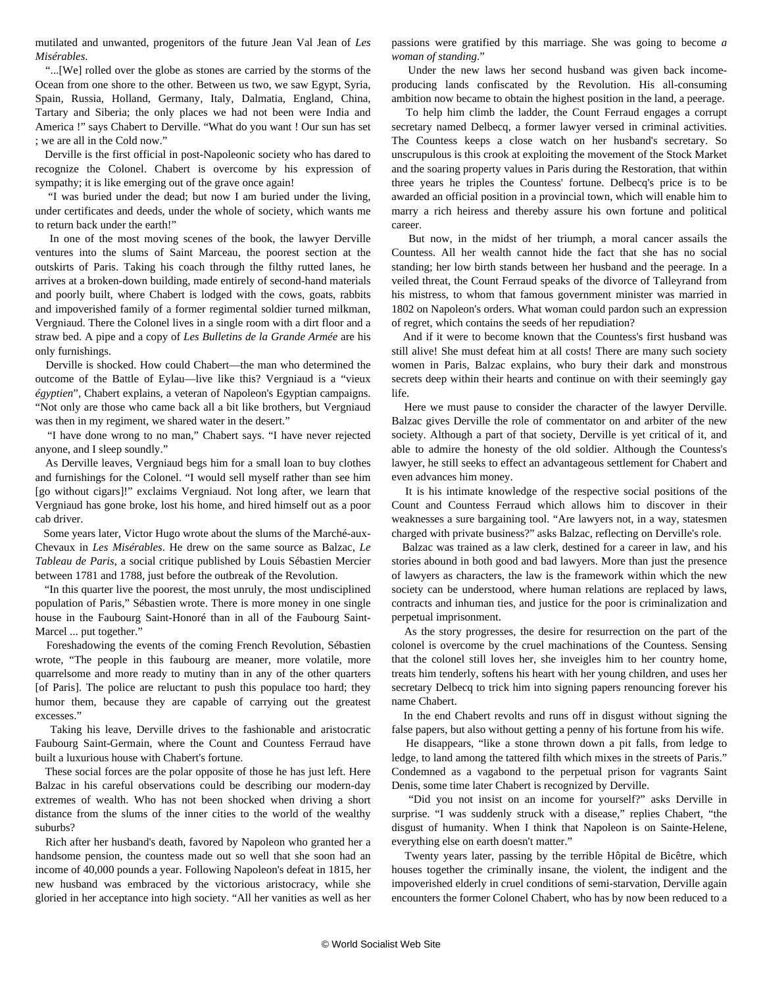mutilated and unwanted, progenitors of the future Jean Val Jean of *Les Misérables*.

 "...[We] rolled over the globe as stones are carried by the storms of the Ocean from one shore to the other. Between us two, we saw Egypt, Syria, Spain, Russia, Holland, Germany, Italy, Dalmatia, England, China, Tartary and Siberia; the only places we had not been were India and America !" says Chabert to Derville. "What do you want ! Our sun has set ; we are all in the Cold now."

 Derville is the first official in post-Napoleonic society who has dared to recognize the Colonel. Chabert is overcome by his expression of sympathy; it is like emerging out of the grave once again!

 "I was buried under the dead; but now I am buried under the living, under certificates and deeds, under the whole of society, which wants me to return back under the earth!"

 In one of the most moving scenes of the book, the lawyer Derville ventures into the slums of Saint Marceau, the poorest section at the outskirts of Paris. Taking his coach through the filthy rutted lanes, he arrives at a broken-down building, made entirely of second-hand materials and poorly built, where Chabert is lodged with the cows, goats, rabbits and impoverished family of a former regimental soldier turned milkman, Vergniaud. There the Colonel lives in a single room with a dirt floor and a straw bed. A pipe and a copy of *Les Bulletins de la Grande Armée* are his only furnishings.

 Derville is shocked. How could Chabert—the man who determined the outcome of the Battle of Eylau—live like this? Vergniaud is a "vieux *égyptien*", Chabert explains, a veteran of Napoleon's Egyptian campaigns. "Not only are those who came back all a bit like brothers, but Vergniaud was then in my regiment, we shared water in the desert."

 "I have done wrong to no man," Chabert says. "I have never rejected anyone, and I sleep soundly."

 As Derville leaves, Vergniaud begs him for a small loan to buy clothes and furnishings for the Colonel. "I would sell myself rather than see him [go without cigars]!" exclaims Vergniaud. Not long after, we learn that Vergniaud has gone broke, lost his home, and hired himself out as a poor cab driver.

 Some years later, Victor Hugo wrote about the slums of the Marché-aux-Chevaux in *Les Misérables*. He drew on the same source as Balzac, *Le Tableau de Paris*, a social critique published by Louis Sébastien Mercier between 1781 and 1788, just before the outbreak of the Revolution.

 "In this quarter live the poorest, the most unruly, the most undisciplined population of Paris," Sébastien wrote. There is more money in one single house in the Faubourg Saint-Honoré than in all of the Faubourg Saint-Marcel ... put together."

 Foreshadowing the events of the coming French Revolution, Sébastien wrote, "The people in this faubourg are meaner, more volatile, more quarrelsome and more ready to mutiny than in any of the other quarters [of Paris]. The police are reluctant to push this populace too hard; they humor them, because they are capable of carrying out the greatest excesses."

 Taking his leave, Derville drives to the fashionable and aristocratic Faubourg Saint-Germain, where the Count and Countess Ferraud have built a luxurious house with Chabert's fortune.

 These social forces are the polar opposite of those he has just left. Here Balzac in his careful observations could be describing our modern-day extremes of wealth. Who has not been shocked when driving a short distance from the slums of the inner cities to the world of the wealthy suburbs?

 Rich after her husband's death, favored by Napoleon who granted her a handsome pension, the countess made out so well that she soon had an income of 40,000 pounds a year. Following Napoleon's defeat in 1815, her new husband was embraced by the victorious aristocracy, while she gloried in her acceptance into high society. "All her vanities as well as her passions were gratified by this marriage. She was going to become *a woman of standing*."

 Under the new laws her second husband was given back incomeproducing lands confiscated by the Revolution. His all-consuming ambition now became to obtain the highest position in the land, a peerage.

 To help him climb the ladder, the Count Ferraud engages a corrupt secretary named Delbecq, a former lawyer versed in criminal activities. The Countess keeps a close watch on her husband's secretary. So unscrupulous is this crook at exploiting the movement of the Stock Market and the soaring property values in Paris during the Restoration, that within three years he triples the Countess' fortune. Delbecq's price is to be awarded an official position in a provincial town, which will enable him to marry a rich heiress and thereby assure his own fortune and political career.

 But now, in the midst of her triumph, a moral cancer assails the Countess. All her wealth cannot hide the fact that she has no social standing; her low birth stands between her husband and the peerage. In a veiled threat, the Count Ferraud speaks of the divorce of Talleyrand from his mistress, to whom that famous government minister was married in 1802 on Napoleon's orders. What woman could pardon such an expression of regret, which contains the seeds of her repudiation?

 And if it were to become known that the Countess's first husband was still alive! She must defeat him at all costs! There are many such society women in Paris, Balzac explains, who bury their dark and monstrous secrets deep within their hearts and continue on with their seemingly gay life.

 Here we must pause to consider the character of the lawyer Derville. Balzac gives Derville the role of commentator on and arbiter of the new society. Although a part of that society, Derville is yet critical of it, and able to admire the honesty of the old soldier. Although the Countess's lawyer, he still seeks to effect an advantageous settlement for Chabert and even advances him money.

 It is his intimate knowledge of the respective social positions of the Count and Countess Ferraud which allows him to discover in their weaknesses a sure bargaining tool. "Are lawyers not, in a way, statesmen charged with private business?" asks Balzac, reflecting on Derville's role.

 Balzac was trained as a law clerk, destined for a career in law, and his stories abound in both good and bad lawyers. More than just the presence of lawyers as characters, the law is the framework within which the new society can be understood, where human relations are replaced by laws, contracts and inhuman ties, and justice for the poor is criminalization and perpetual imprisonment.

 As the story progresses, the desire for resurrection on the part of the colonel is overcome by the cruel machinations of the Countess. Sensing that the colonel still loves her, she inveigles him to her country home, treats him tenderly, softens his heart with her young children, and uses her secretary Delbecq to trick him into signing papers renouncing forever his name Chabert.

 In the end Chabert revolts and runs off in disgust without signing the false papers, but also without getting a penny of his fortune from his wife.

 He disappears, "like a stone thrown down a pit falls, from ledge to ledge, to land among the tattered filth which mixes in the streets of Paris." Condemned as a vagabond to the perpetual prison for vagrants Saint Denis, some time later Chabert is recognized by Derville.

 "Did you not insist on an income for yourself?" asks Derville in surprise. "I was suddenly struck with a disease," replies Chabert, "the disgust of humanity. When I think that Napoleon is on Sainte-Helene, everything else on earth doesn't matter."

 Twenty years later, passing by the terrible Hôpital de Bicêtre, which houses together the criminally insane, the violent, the indigent and the impoverished elderly in cruel conditions of semi-starvation, Derville again encounters the former Colonel Chabert, who has by now been reduced to a